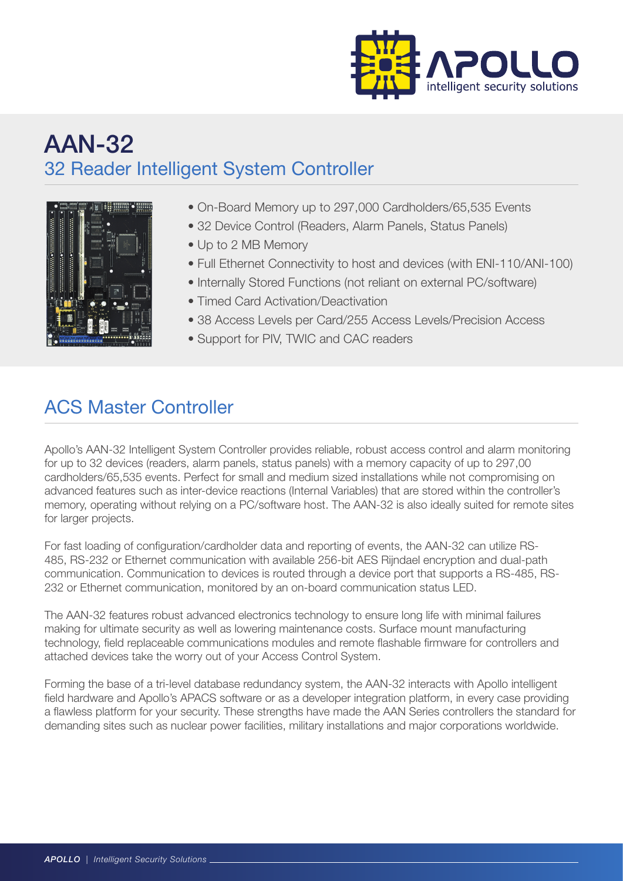

## AAN-32 32 Reader Intelligent System Controller



- On-Board Memory up to 297,000 Cardholders/65,535 Events
- 32 Device Control (Readers, Alarm Panels, Status Panels)
- Up to 2 MB Memory
- Full Ethernet Connectivity to host and devices (with ENI-110/ANI-100)
- Internally Stored Functions (not reliant on external PC/software)
- Timed Card Activation/Deactivation
- 38 Access Levels per Card/255 Access Levels/Precision Access
- Support for PIV, TWIC and CAC readers

## ACS Master Controller

Apollo's AAN-32 Intelligent System Controller provides reliable, robust access control and alarm monitoring for up to 32 devices (readers, alarm panels, status panels) with a memory capacity of up to 297,00 cardholders/65,535 events. Perfect for small and medium sized installations while not compromising on advanced features such as inter-device reactions (Internal Variables) that are stored within the controller's memory, operating without relying on a PC/software host. The AAN-32 is also ideally suited for remote sites for larger projects.

For fast loading of configuration/cardholder data and reporting of events, the AAN-32 can utilize RS-485, RS-232 or Ethernet communication with available 256-bit AES Rijndael encryption and dual-path communication. Communication to devices is routed through a device port that supports a RS-485, RS-232 or Ethernet communication, monitored by an on-board communication status LED.

The AAN-32 features robust advanced electronics technology to ensure long life with minimal failures making for ultimate security as well as lowering maintenance costs. Surface mount manufacturing technology, field replaceable communications modules and remote flashable firmware for controllers and attached devices take the worry out of your Access Control System.

Forming the base of a tri-level database redundancy system, the AAN-32 interacts with Apollo intelligent field hardware and Apollo's APACS software or as a developer integration platform, in every case providing a flawless platform for your security. These strengths have made the AAN Series controllers the standard for demanding sites such as nuclear power facilities, military installations and major corporations worldwide.